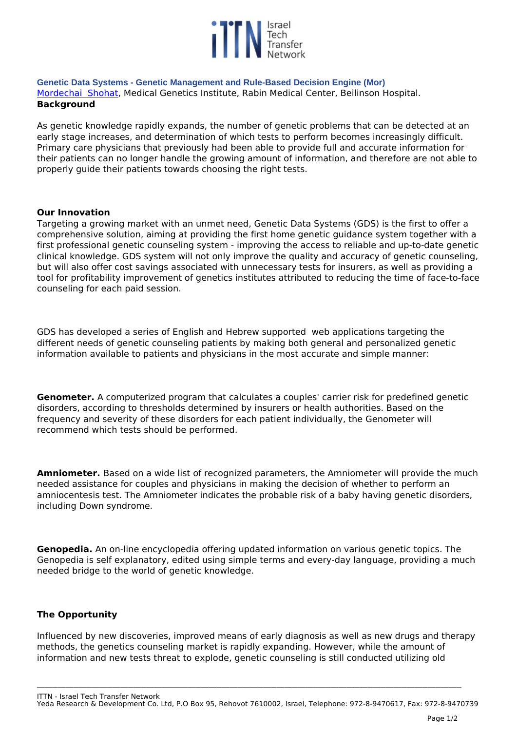

**Genetic Data Systems - Genetic Management and Rule-Based Decision Engine (Mor)**  *[Mordechai Shohat](www.mor-research.co.il), Medical Genetics Institute, Rabin Medical Center, Beilinson Hospital.*  **Background**

*As genetic knowledge rapidly expands, the number of genetic problems that can be detected at an early stage increases, and determination of which tests to perform becomes increasingly difficult. Primary care physicians that previously had been able to provide full and accurate information for their patients can no longer handle the growing amount of information, and therefore are not able to properly guide their patients towards choosing the right tests.* 

### **Our Innovation**

*Targeting a growing market with an unmet need, Genetic Data Systems (GDS) is the first to offer a comprehensive solution, aiming at providing the first home genetic guidance system together with a first professional genetic counseling system - improving the access to reliable and up-to-date genetic clinical knowledge. GDS system will not only improve the quality and accuracy of genetic counseling, but will also offer cost savings associated with unnecessary tests for insurers, as well as providing a tool for profitability improvement of genetics institutes attributed to reducing the time of face-to-face counseling for each paid session.*

*GDS has developed a series of English and Hebrew supported web applications targeting the different needs of genetic counseling patients by making both general and personalized genetic information available to patients and physicians in the most accurate and simple manner:*

**Genometer.** *A computerized program that calculates a couples' carrier risk for predefined genetic disorders, according to thresholds determined by insurers or health authorities. Based on the frequency and severity of these disorders for each patient individually, the Genometer will recommend which tests should be performed.*

**Amniometer.** *Based on a wide list of recognized parameters, the Amniometer will provide the much needed assistance for couples and physicians in making the decision of whether to perform an amniocentesis test. The Amniometer indicates the probable risk of a baby having genetic disorders, including Down syndrome.* 

**Genopedia.** *An on-line encyclopedia offering updated information on various genetic topics. The Genopedia is self explanatory, edited using simple terms and every-day language, providing a much needed bridge to the world of genetic knowledge.* 

# **The Opportunity**

*Influenced by new discoveries, improved means of early diagnosis as well as new drugs and therapy methods, the genetics counseling market is rapidly expanding. However, while the amount of information and new tests threat to explode, genetic counseling is still conducted utilizing old*

*ITTN - Israel Tech Transfer Network*

*Yeda Research & Development Co. Ltd, P.O Box 95, Rehovot 7610002, Israel, Telephone: 972-8-9470617, Fax: 972-8-9470739*

**\_\_\_\_\_\_\_\_\_\_\_\_\_\_\_\_\_\_\_\_\_\_\_\_\_\_\_\_\_\_\_\_\_\_\_\_\_\_\_\_\_\_\_\_\_\_\_\_\_\_\_\_\_\_\_\_\_\_\_\_\_\_\_\_\_\_\_\_\_\_\_\_\_\_\_\_\_\_\_\_\_\_\_\_\_\_\_\_\_\_\_\_\_\_\_\_\_\_\_\_\_\_\_\_\_\_\_\_\_\_\_\_\_\_\_\_\_\_\_\_\_\_\_\_\_\_\_\_\_\_\_\_\_\_\_\_\_\_\_\_\_\_\_\_\_\_\_\_\_\_\_\_\_\_\_\_\_\_\_\_\_\_\_**